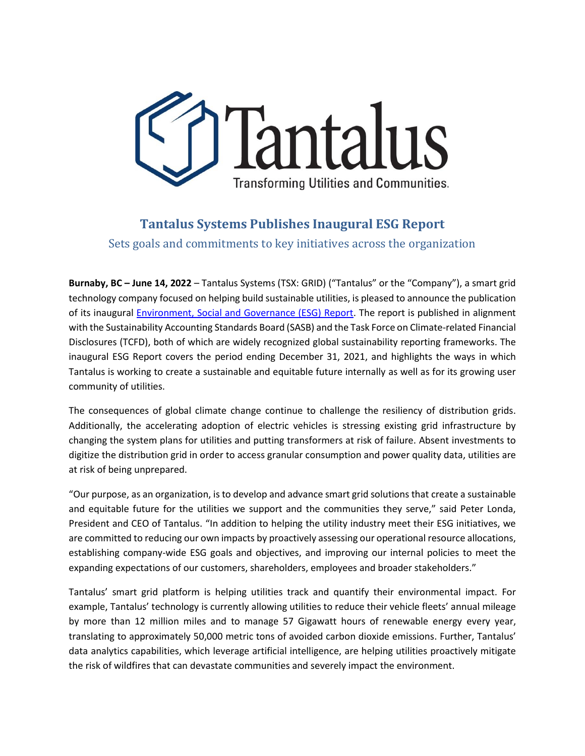

## **Tantalus Systems Publishes Inaugural ESG Report**

Sets goals and commitments to key initiatives across the organization

**Burnaby, BC – June 14, 2022** – Tantalus Systems (TSX: GRID) ("Tantalus" or the "Company"), a smart grid technology company focused on helping build sustainable utilities, is pleased to announce the publication of its inaugural [Environment, Social and Governance \(ESG\) Report.](https://www.tantalus.com/about-tantalus/esg/) The report is published in alignment with the Sustainability Accounting Standards Board (SASB) and the Task Force on Climate-related Financial Disclosures (TCFD), both of which are widely recognized global sustainability reporting frameworks. The inaugural ESG Report covers the period ending December 31, 2021, and highlights the ways in which Tantalus is working to create a sustainable and equitable future internally as well as for its growing user community of utilities.

The consequences of global climate change continue to challenge the resiliency of distribution grids. Additionally, the accelerating adoption of electric vehicles is stressing existing grid infrastructure by changing the system plans for utilities and putting transformers at risk of failure. Absent investments to digitize the distribution grid in order to access granular consumption and power quality data, utilities are at risk of being unprepared.

"Our purpose, as an organization, is to develop and advance smart grid solutions that create a sustainable and equitable future for the utilities we support and the communities they serve," said Peter Londa, President and CEO of Tantalus. "In addition to helping the utility industry meet their ESG initiatives, we are committed to reducing our own impacts by proactively assessing our operational resource allocations, establishing company-wide ESG goals and objectives, and improving our internal policies to meet the expanding expectations of our customers, shareholders, employees and broader stakeholders."

Tantalus' smart grid platform is helping utilities track and quantify their environmental impact. For example, Tantalus' technology is currently allowing utilities to reduce their vehicle fleets' annual mileage by more than 12 million miles and to manage 57 Gigawatt hours of renewable energy every year, translating to approximately 50,000 metric tons of avoided carbon dioxide emissions. Further, Tantalus' data analytics capabilities, which leverage artificial intelligence, are helping utilities proactively mitigate the risk of wildfires that can devastate communities and severely impact the environment.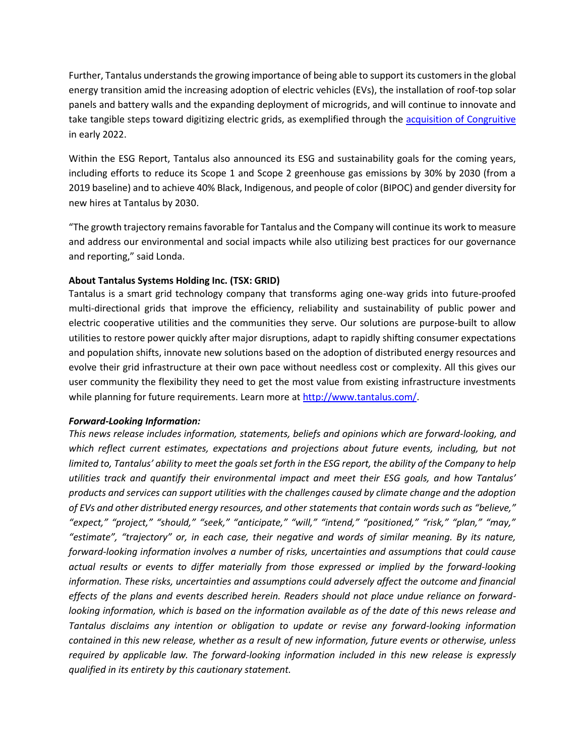Further, Tantalus understands the growing importance of being able to support its customers in the global energy transition amid the increasing adoption of electric vehicles (EVs), the installation of roof-top solar panels and battery walls and the expanding deployment of microgrids, and will continue to innovate and take tangible steps toward digitizing electric grids, as exemplified through the [acquisition of Congruitive](https://www.tantalus.com/2022/02/01/tantalus-acquires-congruitive/) in early 2022.

Within the ESG Report, Tantalus also announced its ESG and sustainability goals for the coming years, including efforts to reduce its Scope 1 and Scope 2 greenhouse gas emissions by 30% by 2030 (from a 2019 baseline) and to achieve 40% Black, Indigenous, and people of color (BIPOC) and gender diversity for new hires at Tantalus by 2030.

"The growth trajectory remains favorable for Tantalus and the Company will continue its work to measure and address our environmental and social impacts while also utilizing best practices for our governance and reporting," said Londa.

## **About Tantalus Systems Holding Inc. (TSX: GRID)**

Tantalus is a smart grid technology company that transforms aging one-way grids into future-proofed multi-directional grids that improve the efficiency, reliability and sustainability of public power and electric cooperative utilities and the communities they serve. Our solutions are purpose-built to allow utilities to restore power quickly after major disruptions, adapt to rapidly shifting consumer expectations and population shifts, innovate new solutions based on the adoption of distributed energy resources and evolve their grid infrastructure at their own pace without needless cost or complexity. All this gives our user community the flexibility they need to get the most value from existing infrastructure investments while planning for future requirements. Learn more at [http://www.tantalus.com/.](http://www.tantalus.com/)

## *Forward-Looking Information:*

*This news release includes information, statements, beliefs and opinions which are forward-looking, and which reflect current estimates, expectations and projections about future events, including, but not limited to, Tantalus' ability to meet the goals set forth in the ESG report, the ability of the Company to help utilities track and quantify their environmental impact and meet their ESG goals, and how Tantalus' products and services can support utilities with the challenges caused by climate change and the adoption of EVs and other distributed energy resources, and other statements that contain words such as "believe," "expect," "project," "should," "seek," "anticipate," "will," "intend," "positioned," "risk," "plan," "may," "estimate", "trajectory" or, in each case, their negative and words of similar meaning. By its nature, forward-looking information involves a number of risks, uncertainties and assumptions that could cause actual results or events to differ materially from those expressed or implied by the forward-looking information. These risks, uncertainties and assumptions could adversely affect the outcome and financial effects of the plans and events described herein. Readers should not place undue reliance on forwardlooking information, which is based on the information available as of the date of this news release and Tantalus disclaims any intention or obligation to update or revise any forward-looking information contained in this new release, whether as a result of new information, future events or otherwise, unless required by applicable law. The forward-looking information included in this new release is expressly qualified in its entirety by this cautionary statement.*